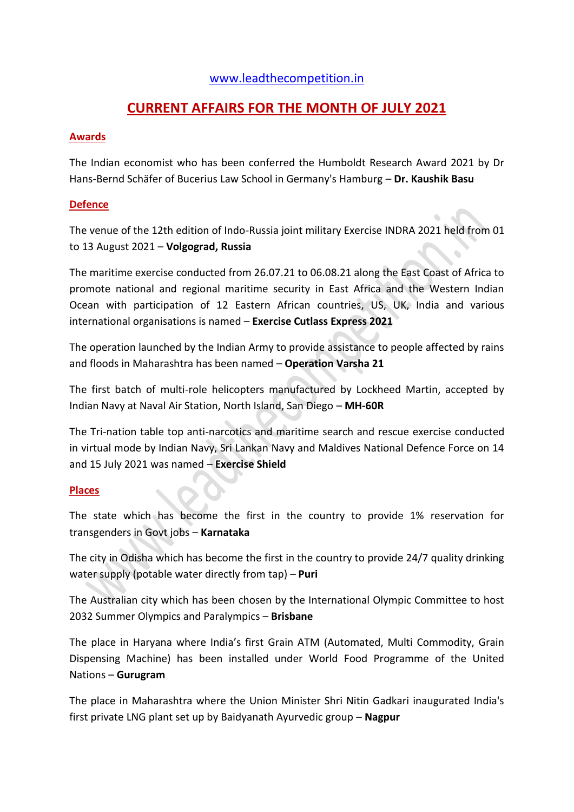# [www.leadthecompetition.in](http://www.leadthecompetition.in/)

# **CURRENT AFFAIRS FOR THE MONTH OF JULY 2021**

## **Awards**

The Indian economist who has been conferred the Humboldt Research Award 2021 by Dr Hans-Bernd Schäfer of Bucerius Law School in Germany's Hamburg – **Dr. Kaushik Basu**

# **Defence**

The venue of the 12th edition of Indo-Russia joint military Exercise INDRA 2021 held from 01 to 13 August 2021 – **Volgograd, Russia**

The maritime exercise conducted from 26.07.21 to 06.08.21 along the East Coast of Africa to promote national and regional maritime security in East Africa and the Western Indian Ocean with participation of 12 Eastern African countries, US, UK, India and various international organisations is named – **Exercise Cutlass Express 2021**

The operation launched by the Indian Army to provide assistance to people affected by rains and floods in Maharashtra has been named – **Operation Varsha 21**

The first batch of multi-role helicopters manufactured by Lockheed Martin, accepted by Indian Navy at Naval Air Station, North Island, San Diego – **MH-60R**

The Tri-nation table top anti-narcotics and maritime search and rescue exercise conducted in virtual mode by Indian Navy, Sri Lankan Navy and Maldives National Defence Force on 14 and 15 July 2021 was named – **Exercise Shield**

# **Places**

The state which has become the first in the country to provide 1% reservation for transgenders in Govt jobs – **Karnataka**

The city in Odisha which has become the first in the country to provide 24/7 quality drinking water supply (potable water directly from tap) – **Puri**

The Australian city which has been chosen by the International Olympic Committee to host 2032 Summer Olympics and Paralympics – **Brisbane**

The place in Haryana where India's first Grain ATM (Automated, Multi Commodity, Grain Dispensing Machine) has been installed under World Food Programme of the United Nations – **Gurugram**

The place in Maharashtra where the Union Minister Shri Nitin Gadkari inaugurated India's first private LNG plant set up by Baidyanath Ayurvedic group – **Nagpur**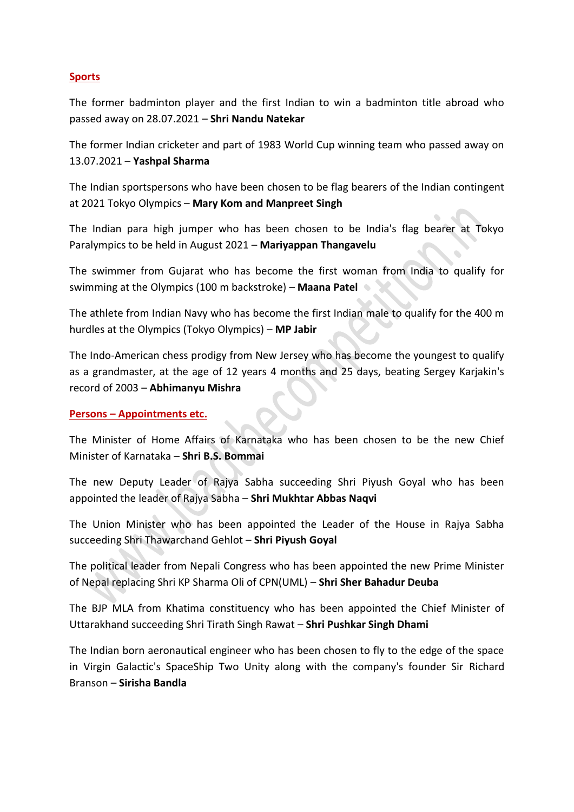### **Sports**

The former badminton player and the first Indian to win a badminton title abroad who passed away on 28.07.2021 – **Shri Nandu Natekar**

The former Indian cricketer and part of 1983 World Cup winning team who passed away on 13.07.2021 – **Yashpal Sharma**

The Indian sportspersons who have been chosen to be flag bearers of the Indian contingent at 2021 Tokyo Olympics – **Mary Kom and Manpreet Singh**

The Indian para high jumper who has been chosen to be India's flag bearer at Tokyo Paralympics to be held in August 2021 – **Mariyappan Thangavelu**

The swimmer from Gujarat who has become the first woman from India to qualify for swimming at the Olympics (100 m backstroke) – **Maana Patel**

The athlete from Indian Navy who has become the first Indian male to qualify for the 400 m hurdles at the Olympics (Tokyo Olympics) – **MP Jabir**

The Indo-American chess prodigy from New Jersey who has become the youngest to qualify as a grandmaster, at the age of 12 years 4 months and 25 days, beating Sergey Karjakin's record of 2003 – **Abhimanyu Mishra**

### **Persons – Appointments etc.**

The Minister of Home Affairs of Karnataka who has been chosen to be the new Chief Minister of Karnataka – **Shri B.S. Bommai**

The new Deputy Leader of Rajya Sabha succeeding Shri Piyush Goyal who has been appointed the leader of Rajya Sabha – **Shri Mukhtar Abbas Naqvi**

The Union Minister who has been appointed the Leader of the House in Rajya Sabha succeeding Shri Thawarchand Gehlot – **Shri Piyush Goyal**

The political leader from Nepali Congress who has been appointed the new Prime Minister of Nepal replacing Shri KP Sharma Oli of CPN(UML) – **Shri Sher Bahadur Deuba**

The BJP MLA from Khatima constituency who has been appointed the Chief Minister of Uttarakhand succeeding Shri Tirath Singh Rawat – **Shri Pushkar Singh Dhami**

The Indian born aeronautical engineer who has been chosen to fly to the edge of the space in Virgin Galactic's SpaceShip Two Unity along with the company's founder Sir Richard Branson – **Sirisha Bandla**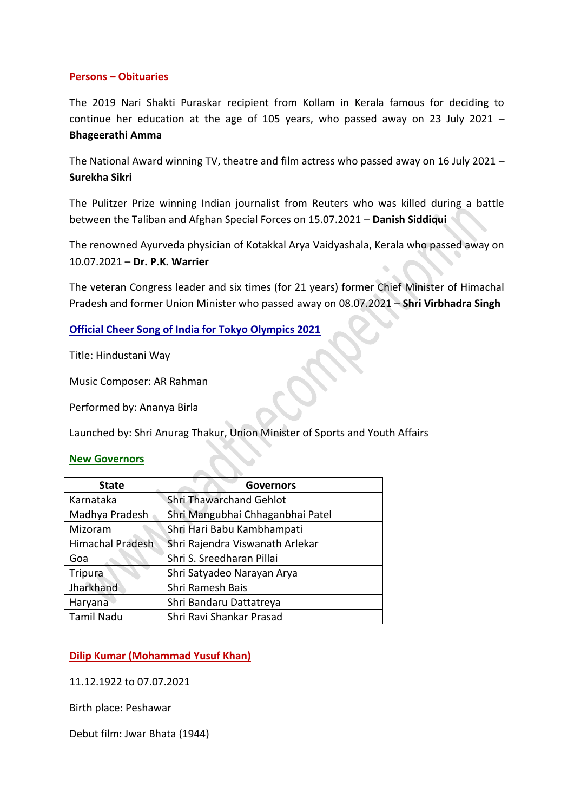### **Persons – Obituaries**

The 2019 Nari Shakti Puraskar recipient from Kollam in Kerala famous for deciding to continue her education at the age of 105 years, who passed away on 23 July 2021 – **Bhageerathi Amma**

The National Award winning TV, theatre and film actress who passed away on 16 July 2021 – **Surekha Sikri**

The Pulitzer Prize winning Indian journalist from Reuters who was killed during a battle between the Taliban and Afghan Special Forces on 15.07.2021 – **Danish Siddiqui**

The renowned Ayurveda physician of Kotakkal Arya Vaidyashala, Kerala who passed away on 10.07.2021 – **Dr. P.K. Warrier**

The veteran Congress leader and six times (for 21 years) former Chief Minister of Himachal Pradesh and former Union Minister who passed away on 08.07.2021 – **Shri Virbhadra Singh**

**Official Cheer Song of India for Tokyo Olympics 2021**

Title: Hindustani Way

Music Composer: AR Rahman

Performed by: Ananya Birla

Launched by: Shri Anurag Thakur, Union Minister of Sports and Youth Affairs

#### **New Governors**

| <b>State</b>            | <b>Governors</b>                 |  |
|-------------------------|----------------------------------|--|
| Karnataka               | <b>Shri Thawarchand Gehlot</b>   |  |
| Madhya Pradesh          | Shri Mangubhai Chhaganbhai Patel |  |
| Mizoram                 | Shri Hari Babu Kambhampati       |  |
| <b>Himachal Pradesh</b> | Shri Rajendra Viswanath Arlekar  |  |
| Goa                     | Shri S. Sreedharan Pillai        |  |
| Tripura                 | Shri Satyadeo Narayan Arya       |  |
| Jharkhand               | Shri Ramesh Bais                 |  |
| Haryana                 | Shri Bandaru Dattatreya          |  |
| <b>Tamil Nadu</b>       | Shri Ravi Shankar Prasad         |  |

**Dilip Kumar (Mohammad Yusuf Khan)**

11.12.1922 to 07.07.2021

Birth place: Peshawar

Debut film: Jwar Bhata (1944)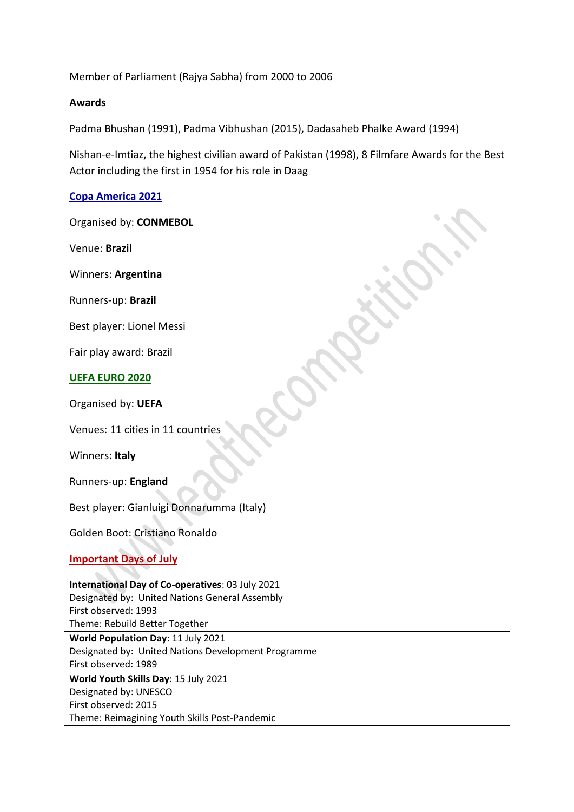Member of Parliament (Rajya Sabha) from 2000 to 2006

### **Awards**

Padma Bhushan (1991), Padma Vibhushan (2015), Dadasaheb Phalke Award (1994)

Nishan-e-Imtiaz, the highest civilian award of Pakistan (1998), 8 Filmfare Awards for the Best Actor including the first in 1954 for his role in Daag

### **Copa America 2021**

Organised by: **CONMEBOL**

Venue: **Brazil**

Winners: **Argentina**

Runners-up: **Brazil**

Best player: Lionel Messi

Fair play award: Brazil

#### **UEFA EURO 2020**

Organised by: **UEFA**

Venues: 11 cities in 11 countries

Winners: **Italy**

Runners-up: **England**

Best player: Gianluigi Donnarumma (Italy)

Golden Boot: Cristiano Ronaldo

# **Important Days of July**

| International Day of Co-operatives: 03 July 2021    |  |  |  |
|-----------------------------------------------------|--|--|--|
| Designated by: United Nations General Assembly      |  |  |  |
| First observed: 1993                                |  |  |  |
| Theme: Rebuild Better Together                      |  |  |  |
| World Population Day: 11 July 2021                  |  |  |  |
| Designated by: United Nations Development Programme |  |  |  |
| First observed: 1989                                |  |  |  |
| World Youth Skills Day: 15 July 2021                |  |  |  |
| Designated by: UNESCO                               |  |  |  |
| First observed: 2015                                |  |  |  |
| Theme: Reimagining Youth Skills Post-Pandemic       |  |  |  |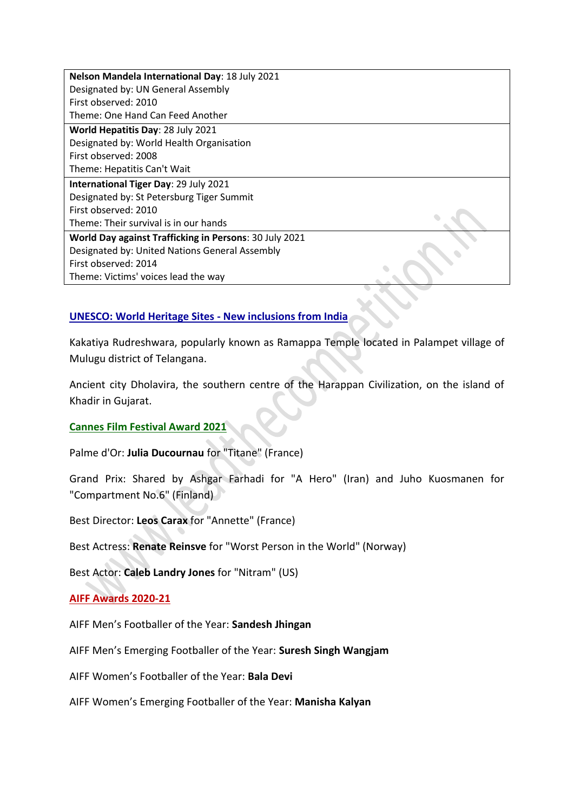**Nelson Mandela International Day**: 18 July 2021 Designated by: UN General Assembly First observed: 2010 Theme: One Hand Can Feed Another

**World Hepatitis Day**: 28 July 2021 Designated by: World Health Organisation First observed: 2008 Theme: Hepatitis Can't Wait

**International Tiger Day**: 29 July 2021 Designated by: St Petersburg Tiger Summit First observed: 2010 Theme: Their survival is in our hands **World Day against Trafficking in Persons**: 30 July 2021

Designated by: United Nations General Assembly First observed: 2014 Theme: Victims' voices lead the way

# **UNESCO: World Heritage Sites - New inclusions from India**

Kakatiya Rudreshwara, popularly known as Ramappa Temple located in Palampet village of Mulugu district of Telangana.

Ancient city Dholavira, the southern centre of the Harappan Civilization, on the island of Khadir in Gujarat.

### **Cannes Film Festival Award 2021**

Palme d'Or: **Julia Ducournau** for "Titane" (France)

Grand Prix: Shared by Ashgar Farhadi for "A Hero" (Iran) and Juho Kuosmanen for "Compartment No.6" (Finland)

Best Director: **Leos Carax** for "Annette" (France)

Best Actress: **Renate Reinsve** for "Worst Person in the World" (Norway)

Best Actor: **Caleb Landry Jones** for "Nitram" (US)

### **AIFF Awards 2020-21**

AIFF Men's Footballer of the Year: **Sandesh Jhingan**

AIFF Men's Emerging Footballer of the Year: **Suresh Singh Wangjam**

AIFF Women's Footballer of the Year: **Bala Devi**

AIFF Women's Emerging Footballer of the Year: **Manisha Kalyan**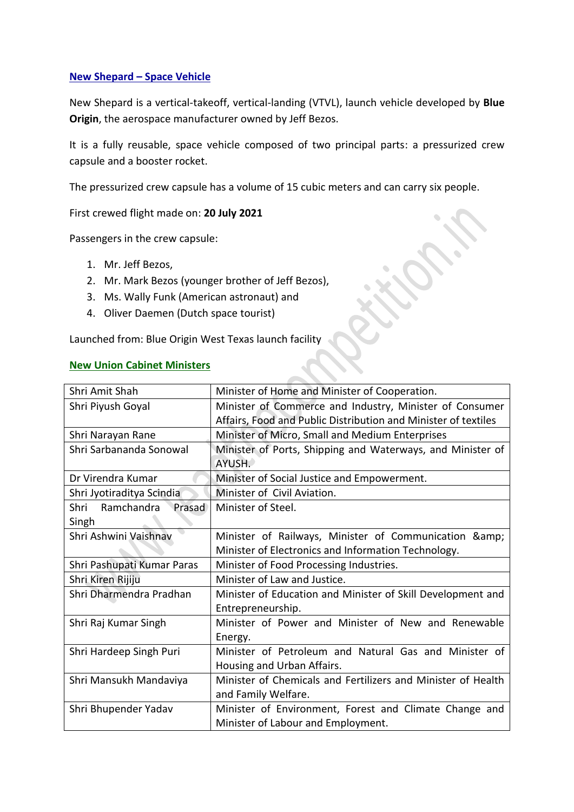### **New Shepard – Space Vehicle**

New Shepard is a vertical-takeoff, vertical-landing (VTVL), launch vehicle developed by **Blue Origin**, the aerospace manufacturer owned by Jeff Bezos.

It is a fully reusable, space vehicle composed of two principal parts: a pressurized crew capsule and a booster rocket.

The pressurized crew capsule has a volume of 15 cubic meters and can carry six people.

First crewed flight made on: **20 July 2021**

Passengers in the crew capsule:

- 1. Mr. Jeff Bezos,
- 2. Mr. Mark Bezos (younger brother of Jeff Bezos),
- 3. Ms. Wally Funk (American astronaut) and
- 4. Oliver Daemen (Dutch space tourist)

Launched from: Blue Origin West Texas launch facility

### **New Union Cabinet Ministers**

| Shri Amit Shah               | Minister of Home and Minister of Cooperation.                  |  |
|------------------------------|----------------------------------------------------------------|--|
| Shri Piyush Goyal            | Minister of Commerce and Industry, Minister of Consumer        |  |
|                              | Affairs, Food and Public Distribution and Minister of textiles |  |
| Shri Narayan Rane            | Minister of Micro, Small and Medium Enterprises                |  |
| Shri Sarbananda Sonowal      | Minister of Ports, Shipping and Waterways, and Minister of     |  |
|                              | AYUSH.                                                         |  |
| Dr Virendra Kumar            | Minister of Social Justice and Empowerment.                    |  |
| Shri Jyotiraditya Scindia    | Minister of Civil Aviation.                                    |  |
| Ramchandra<br>Prasad<br>Shri | Minister of Steel.                                             |  |
| Singh                        |                                                                |  |
| Shri Ashwini Vaishnav        | Minister of Railways, Minister of Communication &              |  |
|                              | Minister of Electronics and Information Technology.            |  |
| Shri Pashupati Kumar Paras   | Minister of Food Processing Industries.                        |  |
| Shri Kiren Rijiju            | Minister of Law and Justice.                                   |  |
| Shri Dharmendra Pradhan      | Minister of Education and Minister of Skill Development and    |  |
|                              | Entrepreneurship.                                              |  |
| Shri Raj Kumar Singh         | Minister of Power and Minister of New and Renewable            |  |
|                              | Energy.                                                        |  |
| Shri Hardeep Singh Puri      | Minister of Petroleum and Natural Gas and Minister of          |  |
|                              | Housing and Urban Affairs.                                     |  |
| Shri Mansukh Mandaviya       | Minister of Chemicals and Fertilizers and Minister of Health   |  |
|                              | and Family Welfare.                                            |  |
| Shri Bhupender Yadav         | Minister of Environment, Forest and Climate Change and         |  |
|                              | Minister of Labour and Employment.                             |  |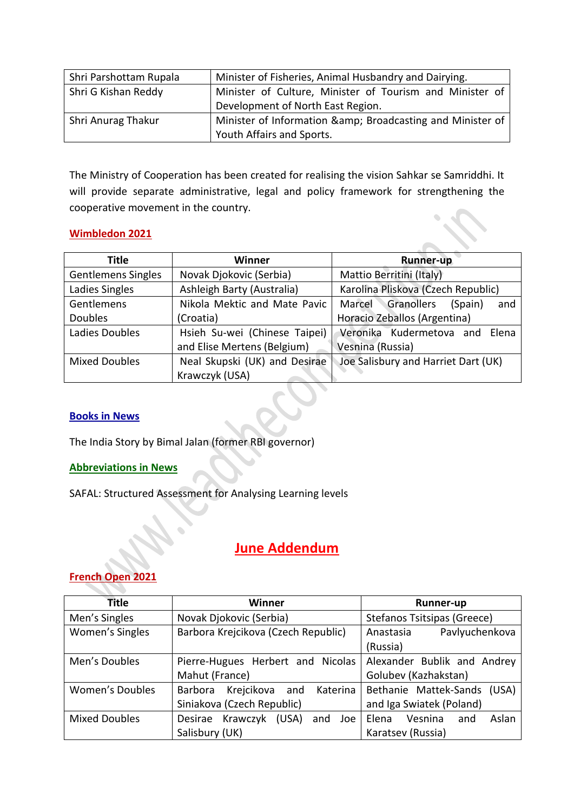| Shri Parshottam Rupala | Minister of Fisheries, Animal Husbandry and Dairying.    |  |
|------------------------|----------------------------------------------------------|--|
| Shri G Kishan Reddy    | Minister of Culture, Minister of Tourism and Minister of |  |
|                        | Development of North East Region.                        |  |
| Shri Anurag Thakur     | Minister of Information & Broadcasting and Minister of   |  |
|                        | Youth Affairs and Sports.                                |  |

The Ministry of Cooperation has been created for realising the vision Sahkar se Samriddhi. It will provide separate administrative, legal and policy framework for strengthening the cooperative movement in the country.

# **Wimbledon 2021**

| <b>Title</b>              | Winner                        | <b>Runner-up</b>                       |
|---------------------------|-------------------------------|----------------------------------------|
| <b>Gentlemens Singles</b> | Novak Djokovic (Serbia)       | Mattio Berritini (Italy)               |
| Ladies Singles            | Ashleigh Barty (Australia)    | Karolina Pliskova (Czech Republic)     |
| Gentlemens                | Nikola Mektic and Mate Pavic  | Marcel<br>Granollers<br>(Spain)<br>and |
| <b>Doubles</b>            | (Croatia)                     | Horacio Zeballos (Argentina)           |
| Ladies Doubles            | Hsieh Su-wei (Chinese Taipei) | Veronika Kudermetova and<br>Elena      |
|                           | and Elise Mertens (Belgium)   | Vesnina (Russia)                       |
| <b>Mixed Doubles</b>      | Neal Skupski (UK) and Desirae | Joe Salisbury and Harriet Dart (UK)    |
|                           | Krawczyk (USA)                |                                        |

**Contract** 

# **Books in News**

The India Story by Bimal Jalan (former RBI governor)

# **Abbreviations in News**

SAFAL: Structured Assessment for Analysing Learning levels

# **June Addendum**

# **French Open 2021**

| <b>Title</b>           | <b>Winner</b>                              | Runner-up                        |
|------------------------|--------------------------------------------|----------------------------------|
| Men's Singles          | Novak Djokovic (Serbia)                    | Stefanos Tsitsipas (Greece)      |
| Women's Singles        | Barbora Krejcikova (Czech Republic)        | Pavlyuchenkova<br>Anastasia      |
|                        |                                            | (Russia)                         |
| Men's Doubles          | Pierre-Hugues Herbert and Nicolas          | Alexander Bublik and Andrey      |
|                        | Mahut (France)                             | Golubev (Kazhakstan)             |
| <b>Women's Doubles</b> | Krejcikova<br>Katerina<br>Barbora<br>and   | Bethanie Mattek-Sands<br>(USA)   |
|                        | Siniakova (Czech Republic)                 | and Iga Swiatek (Poland)         |
| <b>Mixed Doubles</b>   | Krawczyk<br>Desirae<br>(USA)<br>and<br>Joe | Aslan<br>Elena<br>Vesnina<br>and |
|                        | Salisbury (UK)                             | Karatsev (Russia)                |